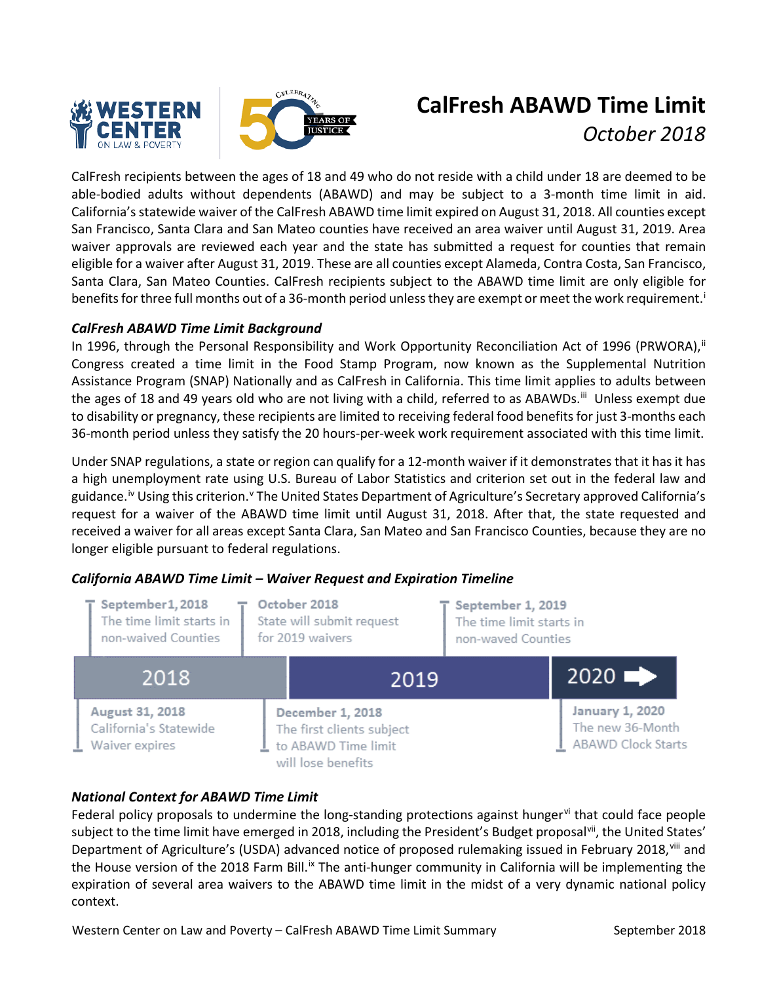



# **CalFresh ABAWD Time Limit** *October 2018*

CalFresh recipients between the ages of 18 and 49 who do not reside with a child under 18 are deemed to be able-bodied adults without dependents (ABAWD) and may be subject to a 3-month time limit in aid. California'sstatewide waiver of the CalFresh ABAWD time limit expired on August 31, 2018. All counties except San Francisco, Santa Clara and San Mateo counties have received an area waiver until August 31, 2019. Area waiver approvals are reviewed each year and the state has submitted a request for counties that remain eligible for a waiver after August 31, 2019. These are all counties except Alameda, Contra Costa, San Francisco, Santa Clara, San Mateo Counties. CalFresh recipients subject to the ABAWD time limit are only eligible for benef[i](#page-1-0)ts for three full months out of a 36-month period unless they are exempt or meet the work requirement.<sup>i</sup>

# *CalFresh ABAWD Time Limit Background*

In 1996, through the Personal Responsibility and Work Opportunity Reconciliation Act of 1996 (PRWORA), [ii](#page-1-1) Congress created a time limit in the Food Stamp Program, now known as the Supplemental Nutrition Assistance Program (SNAP) Nationally and as CalFresh in California. This time limit applies to adults between the ages of 18 and 49 years old who are not living with a child, referred to as ABAWDs.<sup>[iii](#page-1-2)</sup> Unless exempt due to disability or pregnancy, these recipients are limited to receiving federal food benefits for just 3-months each 36-month period unless they satisfy the 20 hours-per-week work requirement associated with this time limit.

Under SNAP regulations, a state or region can qualify for a 12-month waiver if it demonstrates that it has it has a high unemployment rate using U.S. Bureau of Labor Statistics and criterion set out in the federal law and guidance.<sup>[iv](#page-1-3)</sup> Using this criterion.<sup>[v](#page-1-4)</sup> The United States Department of Agriculture's Secretary approved California's request for a waiver of the ABAWD time limit until August 31, 2018. After that, the state requested and received a waiver for all areas except Santa Clara, San Mateo and San Francisco Counties, because they are no longer eligible pursuant to federal regulations.



# *California ABAWD Time Limit – Waiver Request and Expiration Timeline*

#### *National Context for ABAWD Time Limit*

Federal policy proposals to undermine the long-standing protections against hunger  $\dot{v}$  that could face people subject to the time limit have emerged in 2018, including the President's Budget proposal<sup>[vii](#page-1-6)</sup>, the United States' Department of Agriculture's (USDA) advanced notice of proposed rulemaking issued in February 2018, Vill and the House version of the 2018 Farm Bill.<sup>[ix](#page-1-8)</sup> The anti-hunger community in California will be implementing the expiration of several area waivers to the ABAWD time limit in the midst of a very dynamic national policy context.